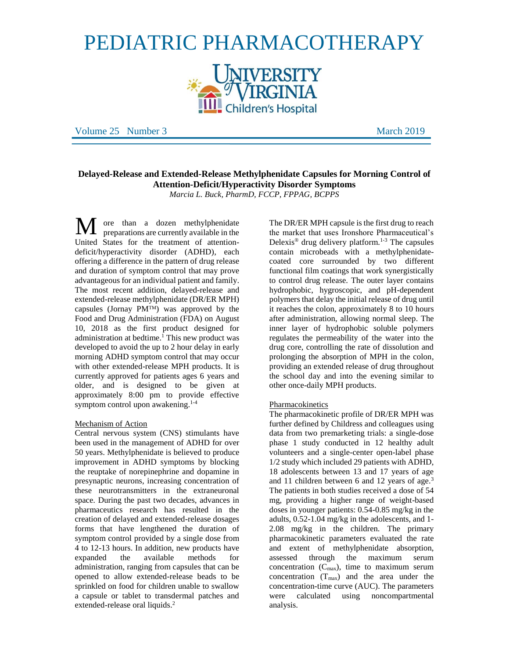# PEDIATRIC PHARMACOTHERAPY



Volume 25 Number 3 and 2019 March 2019

# **Delayed-Release and Extended-Release Methylphenidate Capsules for Morning Control of Attention-Deficit/Hyperactivity Disorder Symptoms**  *Marcia L. Buck, PharmD, FCCP, FPPAG, BCPPS*

ore than a dozen methylphenidate preparations are currently available in the United States for the treatment of attentiondeficit/hyperactivity disorder (ADHD), each offering a difference in the pattern of drug release and duration of symptom control that may prove advantageous for an individual patient and family. The most recent addition, delayed-release and extended-release methylphenidate (DR/ER MPH) capsules (Jornay  $PM^{TM}$ ) was approved by the Food and Drug Administration (FDA) on August 10, 2018 as the first product designed for administration at bedtime.<sup>1</sup> This new product was developed to avoid the up to 2 hour delay in early morning ADHD symptom control that may occur with other extended-release MPH products. It is currently approved for patients ages 6 years and older, and is designed to be given at approximately 8:00 pm to provide effective symptom control upon awakening. 1-4 M

#### Mechanism of Action

Central nervous system (CNS) stimulants have been used in the management of ADHD for over 50 years. Methylphenidate is believed to produce improvement in ADHD symptoms by blocking the reuptake of norepinephrine and dopamine in presynaptic neurons, increasing concentration of these neurotransmitters in the extraneuronal space. During the past two decades, advances in pharmaceutics research has resulted in the creation of delayed and extended-release dosages forms that have lengthened the duration of symptom control provided by a single dose from 4 to 12-13 hours. In addition, new products have expanded the available methods for administration, ranging from capsules that can be opened to allow extended-release beads to be sprinkled on food for children unable to swallow a capsule or tablet to transdermal patches and extended-release oral liquids.<sup>2</sup>

The DR/ER MPH capsule is the first drug to reach the market that uses Ironshore Pharmaceutical's Delexis<sup>®</sup> drug delivery platform.<sup>1-3</sup> The capsules contain microbeads with a methylphenidatecoated core surrounded by two different functional film coatings that work synergistically to control drug release. The outer layer contains hydrophobic, hygroscopic, and pH-dependent polymers that delay the initial release of drug until it reaches the colon, approximately 8 to 10 hours after administration, allowing normal sleep. The inner layer of hydrophobic soluble polymers regulates the permeability of the water into the drug core, controlling the rate of dissolution and prolonging the absorption of MPH in the colon, providing an extended release of drug throughout the school day and into the evening similar to other once-daily MPH products.

#### Pharmacokinetics

The pharmacokinetic profile of DR/ER MPH was further defined by Childress and colleagues using data from two premarketing trials: a single-dose phase 1 study conducted in 12 healthy adult volunteers and a single-center open-label phase 1/2 study which included 29 patients with ADHD, 18 adolescents between 13 and 17 years of age and 11 children between 6 and 12 years of age.<sup>3</sup> The patients in both studies received a dose of 54 mg, providing a higher range of weight-based doses in younger patients: 0.54-0.85 mg/kg in the adults, 0.52-1.04 mg/kg in the adolescents, and 1- 2.08 mg/kg in the children. The primary pharmacokinetic parameters evaluated the rate and extent of methylphenidate absorption, assessed through the maximum serum concentration  $(C_{\text{max}})$ , time to maximum serum concentration  $(T_{max})$  and the area under the concentration-time curve (AUC). The parameters were calculated using noncompartmental analysis.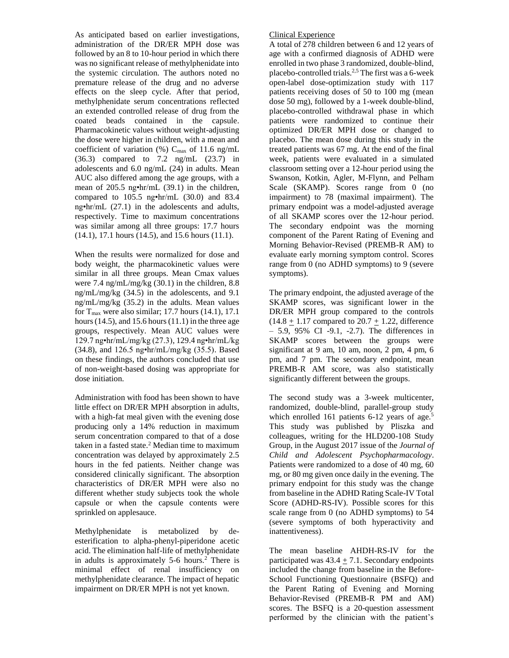As anticipated based on earlier investigations, administration of the DR/ER MPH dose was followed by an 8 to 10-hour period in which there was no significant release of methylphenidate into the systemic circulation. The authors noted no premature release of the drug and no adverse effects on the sleep cycle. After that period, methylphenidate serum concentrations reflected an extended controlled release of drug from the coated beads contained in the capsule. Pharmacokinetic values without weight-adjusting the dose were higher in children, with a mean and coefficient of variation (%)  $C_{\text{max}}$  of 11.6 ng/mL (36.3) compared to 7.2 ng/mL (23.7) in adolescents and 6.0 ng/mL (24) in adults. Mean AUC also differed among the age groups, with a mean of 205.5 ng•hr/mL (39.1) in the children, compared to 105.5 ng•hr/mL (30.0) and 83.4 ng•hr/mL (27.1) in the adolescents and adults, respectively. Time to maximum concentrations was similar among all three groups: 17.7 hours (14.1), 17.1 hours (14.5), and 15.6 hours (11.1).

When the results were normalized for dose and body weight, the pharmacokinetic values were similar in all three groups. Mean Cmax values were 7.4 ng/mL/mg/kg (30.1) in the children, 8.8 ng/mL/mg/kg (34.5) in the adolescents, and 9.1 ng/mL/mg/kg (35.2) in the adults. Mean values for  $T_{\text{max}}$  were also similar; 17.7 hours (14.1), 17.1 hours  $(14.5)$ , and  $15.6$  hours  $(11.1)$  in the three age groups, respectively. Mean AUC values were 129.7 ng•hr/mL/mg/kg (27.3), 129.4 ng•hr/mL/kg (34.8), and 126.5 ng•hr/mL/mg/kg (35.5). Based on these findings, the authors concluded that use of non-weight-based dosing was appropriate for dose initiation.

Administration with food has been shown to have little effect on DR/ER MPH absorption in adults, with a high-fat meal given with the evening dose producing only a 14% reduction in maximum serum concentration compared to that of a dose taken in a fasted state. $2$  Median time to maximum concentration was delayed by approximately 2.5 hours in the fed patients. Neither change was considered clinically significant. The absorption characteristics of DR/ER MPH were also no different whether study subjects took the whole capsule or when the capsule contents were sprinkled on applesauce.

Methylphenidate is metabolized by deesterification to alpha-phenyl-piperidone acetic acid. The elimination half-life of methylphenidate in adults is approximately  $5-6$  hours.<sup>2</sup> There is minimal effect of renal insufficiency on methylphenidate clearance. The impact of hepatic impairment on DR/ER MPH is not yet known.

#### Clinical Experience

A total of 278 children between 6 and 12 years of age with a confirmed diagnosis of ADHD were enrolled in two phase 3 randomized, double-blind, placebo-controlled trials. 2,5 The first was a 6-week open-label dose-optimization study with 117 patients receiving doses of 50 to 100 mg (mean dose 50 mg), followed by a 1-week double-blind, placebo-controlled withdrawal phase in which patients were randomized to continue their optimized DR/ER MPH dose or changed to placebo. The mean dose during this study in the treated patients was 67 mg. At the end of the final week, patients were evaluated in a simulated classroom setting over a 12-hour period using the Swanson, Kotkin, Agler, M-Flynn, and Pelham Scale (SKAMP). Scores range from 0 (no impairment) to 78 (maximal impairment). The primary endpoint was a model-adjusted average of all SKAMP scores over the 12-hour period. The secondary endpoint was the morning component of the Parent Rating of Evening and Morning Behavior-Revised (PREMB-R AM) to evaluate early morning symptom control. Scores range from 0 (no ADHD symptoms) to 9 (severe symptoms).

The primary endpoint, the adjusted average of the SKAMP scores, was significant lower in the DR/ER MPH group compared to the controls  $(14.8 + 1.17$  compared to  $20.7 + 1.22$ , difference – 5.9, 95% CI -9.1, -2.7). The differences in SKAMP scores between the groups were significant at 9 am, 10 am, noon, 2 pm, 4 pm, 6 pm, and 7 pm. The secondary endpoint, mean PREMB-R AM score, was also statistically significantly different between the groups.

The second study was a 3-week multicenter, randomized, double-blind, parallel-group study which enrolled 161 patients 6-12 years of age.<sup>5</sup> This study was published by Pliszka and colleagues, writing for the HLD200-108 Study Group, in the August 2017 issue of the *Journal of Child and Adolescent Psychopharmacology*. Patients were randomized to a dose of 40 mg, 60 mg, or 80 mg given once daily in the evening. The primary endpoint for this study was the change from baseline in the ADHD Rating Scale-IV Total Score (ADHD-RS-IV). Possible scores for this scale range from 0 (no ADHD symptoms) to 54 (severe symptoms of both hyperactivity and inattentiveness).

The mean baseline AHDH-RS-IV for the participated was  $43.4 \pm 7.1$ . Secondary endpoints included the change from baseline in the Before-School Functioning Questionnaire (BSFQ) and the Parent Rating of Evening and Morning Behavior-Revised (PREMB-R PM and AM) scores. The BSFQ is a 20-question assessment performed by the clinician with the patient's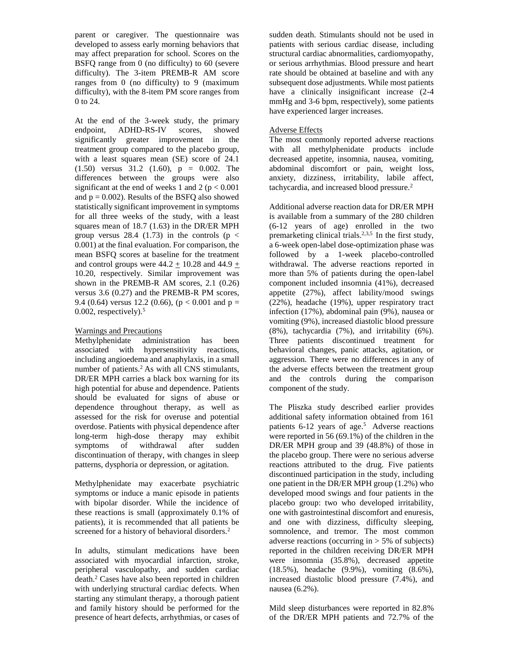parent or caregiver. The questionnaire was developed to assess early morning behaviors that may affect preparation for school. Scores on the BSFQ range from 0 (no difficulty) to 60 (severe difficulty). The 3-item PREMB-R AM score ranges from 0 (no difficulty) to 9 (maximum difficulty), with the 8-item PM score ranges from 0 to 24.

At the end of the 3-week study, the primary endpoint, ADHD-RS-IV scores, showed significantly greater improvement in the treatment group compared to the placebo group, with a least squares mean (SE) score of 24.1 (1.50) versus 31.2 (1.60), p = 0.002. The differences between the groups were also significant at the end of weeks 1 and 2 ( $p < 0.001$ ) and  $p = 0.002$ ). Results of the BSFQ also showed statistically significant improvement in symptoms for all three weeks of the study, with a least squares mean of 18.7 (1.63) in the DR/ER MPH group versus 28.4 (1.73) in the controls ( $p <$ 0.001) at the final evaluation. For comparison, the mean BSFQ scores at baseline for the treatment and control groups were  $44.2 \pm 10.28$  and  $44.9 \pm 10.28$ 10.20, respectively. Similar improvement was shown in the PREMB-R AM scores, 2.1 (0.26) versus 3.6 (0.27) and the PREMB-R PM scores, 9.4 (0.64) versus 12.2 (0.66), ( $p < 0.001$  and  $p =$  $0.002$ , respectively).<sup>5</sup>

# Warnings and Precautions

Methylphenidate administration has been associated with hypersensitivity reactions, including angioedema and anaphylaxis, in a small number of patients.<sup>2</sup> As with all CNS stimulants, DR/ER MPH carries a black box warning for its high potential for abuse and dependence. Patients should be evaluated for signs of abuse or dependence throughout therapy, as well as assessed for the risk for overuse and potential overdose. Patients with physical dependence after long-term high-dose therapy may exhibit symptoms of withdrawal after sudden discontinuation of therapy, with changes in sleep patterns, dysphoria or depression, or agitation.

Methylphenidate may exacerbate psychiatric symptoms or induce a manic episode in patients with bipolar disorder. While the incidence of these reactions is small (approximately 0.1% of patients), it is recommended that all patients be screened for a history of behavioral disorders.<sup>2</sup>

In adults, stimulant medications have been associated with myocardial infarction, stroke, peripheral vasculopathy, and sudden cardiac death.<sup>2</sup> Cases have also been reported in children with underlying structural cardiac defects. When starting any stimulant therapy, a thorough patient and family history should be performed for the presence of heart defects, arrhythmias, or cases of

sudden death. Stimulants should not be used in patients with serious cardiac disease, including structural cardiac abnormalities, cardiomyopathy, or serious arrhythmias. Blood pressure and heart rate should be obtained at baseline and with any subsequent dose adjustments. While most patients have a clinically insignificant increase  $(2-4)$ mmHg and 3-6 bpm, respectively), some patients have experienced larger increases.

## Adverse Effects

The most commonly reported adverse reactions with all methylphenidate products include decreased appetite, insomnia, nausea, vomiting, abdominal discomfort or pain, weight loss, anxiety, dizziness, irritability, labile affect, tachycardia, and increased blood pressure.<sup>2</sup>

Additional adverse reaction data for DR/ER MPH is available from a summary of the 280 children (6-12 years of age) enrolled in the two premarketing clinical trials.<sup>2,3,5</sup> In the first study, a 6-week open-label dose-optimization phase was followed by a 1-week placebo-controlled withdrawal. The adverse reactions reported in more than 5% of patients during the open-label component included insomnia (41%), decreased appetite (27%), affect lability/mood swings (22%), headache (19%), upper respiratory tract infection (17%), abdominal pain (9%), nausea or vomiting (9%), increased diastolic blood pressure (8%), tachycardia (7%), and irritability (6%). Three patients discontinued treatment for behavioral changes, panic attacks, agitation, or aggression. There were no differences in any of the adverse effects between the treatment group and the controls during the comparison component of the study.

The Pliszka study described earlier provides additional safety information obtained from 161 patients 6-12 years of age. <sup>5</sup> Adverse reactions were reported in 56 (69.1%) of the children in the DR/ER MPH group and 39 (48.8%) of those in the placebo group. There were no serious adverse reactions attributed to the drug. Five patients discontinued participation in the study, including one patient in the DR/ER MPH group (1.2%) who developed mood swings and four patients in the placebo group: two who developed irritability, one with gastrointestinal discomfort and enuresis, and one with dizziness, difficulty sleeping, somnolence, and tremor. The most common adverse reactions (occurring in  $> 5\%$  of subjects) reported in the children receiving DR/ER MPH were insomnia (35.8%), decreased appetite (18.5%), headache (9.9%), vomiting (8.6%), increased diastolic blood pressure (7.4%), and nausea (6.2%).

Mild sleep disturbances were reported in 82.8% of the DR/ER MPH patients and 72.7% of the